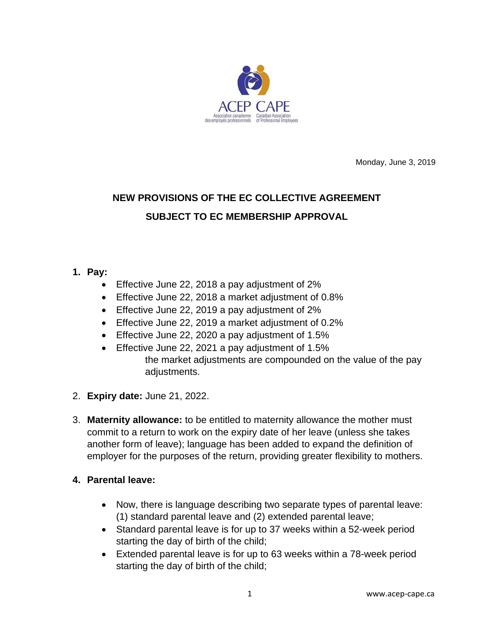

Monday, June 3, 2019

# **NEW PROVISIONS OF THE EC COLLECTIVE AGREEMENT SUBJECT TO EC MEMBERSHIP APPROVAL**

## **1. Pay:**

- Effective June 22, 2018 a pay adjustment of 2%
- Effective June 22, 2018 a market adjustment of 0.8%
- Effective June 22, 2019 a pay adjustment of 2%
- Effective June 22, 2019 a market adjustment of 0.2%
- Effective June 22, 2020 a pay adjustment of 1.5%
- Effective June 22, 2021 a pay adjustment of 1.5% the market adjustments are compounded on the value of the pay adjustments.
- 2. **Expiry date:** June 21, 2022.
- 3. **Maternity allowance:** to be entitled to maternity allowance the mother must commit to a return to work on the expiry date of her leave (unless she takes another form of leave); language has been added to expand the definition of employer for the purposes of the return, providing greater flexibility to mothers.

## **4. Parental leave:**

- Now, there is language describing two separate types of parental leave: (1) standard parental leave and (2) extended parental leave;
- Standard parental leave is for up to 37 weeks within a 52-week period starting the day of birth of the child;
- Extended parental leave is for up to 63 weeks within a 78-week period starting the day of birth of the child;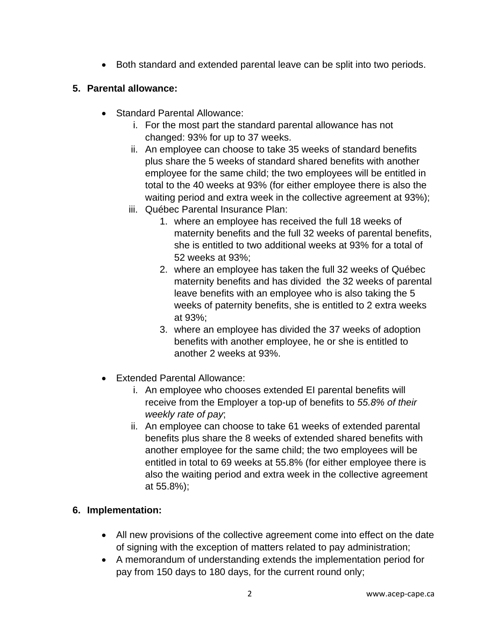• Both standard and extended parental leave can be split into two periods.

## **5. Parental allowance:**

- Standard Parental Allowance:
	- i. For the most part the standard parental allowance has not changed: 93% for up to 37 weeks.
	- ii. An employee can choose to take 35 weeks of standard benefits plus share the 5 weeks of standard shared benefits with another employee for the same child; the two employees will be entitled in total to the 40 weeks at 93% (for either employee there is also the waiting period and extra week in the collective agreement at 93%);
	- iii. Québec Parental Insurance Plan:
		- 1. where an employee has received the full 18 weeks of maternity benefits and the full 32 weeks of parental benefits, she is entitled to two additional weeks at 93% for a total of 52 weeks at 93%;
		- 2. where an employee has taken the full 32 weeks of Québec maternity benefits and has divided the 32 weeks of parental leave benefits with an employee who is also taking the 5 weeks of paternity benefits, she is entitled to 2 extra weeks at 93%;
		- 3. where an employee has divided the 37 weeks of adoption benefits with another employee, he or she is entitled to another 2 weeks at 93%.
- Extended Parental Allowance:
	- i. An employee who chooses extended EI parental benefits will receive from the Employer a top-up of benefits to *55.8% of their weekly rate of pay*;
	- ii. An employee can choose to take 61 weeks of extended parental benefits plus share the 8 weeks of extended shared benefits with another employee for the same child; the two employees will be entitled in total to 69 weeks at 55.8% (for either employee there is also the waiting period and extra week in the collective agreement at 55.8%);

## **6. Implementation:**

- All new provisions of the collective agreement come into effect on the date of signing with the exception of matters related to pay administration;
- A memorandum of understanding extends the implementation period for pay from 150 days to 180 days, for the current round only;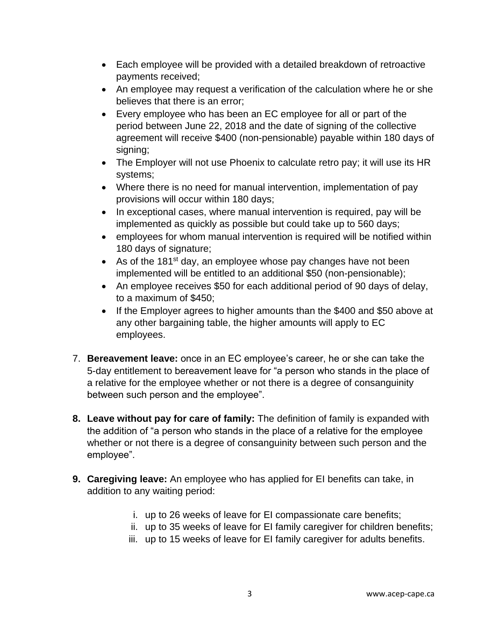- Each employee will be provided with a detailed breakdown of retroactive payments received;
- An employee may request a verification of the calculation where he or she believes that there is an error;
- Every employee who has been an EC employee for all or part of the period between June 22, 2018 and the date of signing of the collective agreement will receive \$400 (non-pensionable) payable within 180 days of signing;
- The Employer will not use Phoenix to calculate retro pay; it will use its HR systems;
- Where there is no need for manual intervention, implementation of pay provisions will occur within 180 days;
- In exceptional cases, where manual intervention is required, pay will be implemented as quickly as possible but could take up to 560 days;
- employees for whom manual intervention is required will be notified within 180 days of signature;
- As of the 181<sup>st</sup> day, an employee whose pay changes have not been implemented will be entitled to an additional \$50 (non-pensionable);
- An employee receives \$50 for each additional period of 90 days of delay, to a maximum of \$450;
- If the Employer agrees to higher amounts than the \$400 and \$50 above at any other bargaining table, the higher amounts will apply to EC employees.
- 7. **Bereavement leave:** once in an EC employee's career, he or she can take the 5-day entitlement to bereavement leave for "a person who stands in the place of a relative for the employee whether or not there is a degree of consanguinity between such person and the employee".
- **8. Leave without pay for care of family:** The definition of family is expanded with the addition of "a person who stands in the place of a relative for the employee whether or not there is a degree of consanguinity between such person and the employee".
- **9. Caregiving leave:** An employee who has applied for EI benefits can take, in addition to any waiting period:
	- i. up to 26 weeks of leave for EI compassionate care benefits;
	- ii. up to 35 weeks of leave for EI family caregiver for children benefits;
	- iii. up to 15 weeks of leave for EI family caregiver for adults benefits.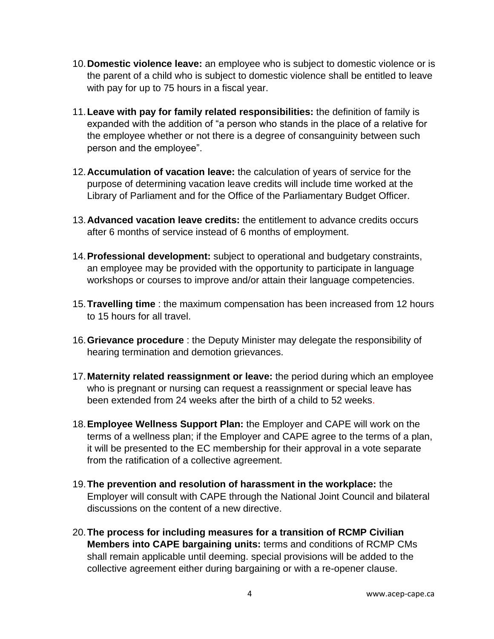- 10.**Domestic violence leave:** an employee who is subject to domestic violence or is the parent of a child who is subject to domestic violence shall be entitled to leave with pay for up to 75 hours in a fiscal year.
- 11.**Leave with pay for family related responsibilities:** the definition of family is expanded with the addition of "a person who stands in the place of a relative for the employee whether or not there is a degree of consanguinity between such person and the employee".
- 12.**Accumulation of vacation leave:** the calculation of years of service for the purpose of determining vacation leave credits will include time worked at the Library of Parliament and for the Office of the Parliamentary Budget Officer.
- 13.**Advanced vacation leave credits:** the entitlement to advance credits occurs after 6 months of service instead of 6 months of employment.
- 14.**Professional development:** subject to operational and budgetary constraints, an employee may be provided with the opportunity to participate in language workshops or courses to improve and/or attain their language competencies.
- 15.**Travelling time** : the maximum compensation has been increased from 12 hours to 15 hours for all travel.
- 16.**Grievance procedure** : the Deputy Minister may delegate the responsibility of hearing termination and demotion grievances.
- 17.**Maternity related reassignment or leave:** the period during which an employee who is pregnant or nursing can request a reassignment or special leave has been extended from 24 weeks after the birth of a child to 52 weeks.
- 18.**Employee Wellness Support Plan:** the Employer and CAPE will work on the terms of a wellness plan; if the Employer and CAPE agree to the terms of a plan, it will be presented to the EC membership for their approval in a vote separate from the ratification of a collective agreement.
- 19.**The prevention and resolution of harassment in the workplace:** the Employer will consult with CAPE through the National Joint Council and bilateral discussions on the content of a new directive.
- 20.**The process for including measures for a transition of RCMP Civilian Members into CAPE bargaining units:** terms and conditions of RCMP CMs shall remain applicable until deeming. special provisions will be added to the collective agreement either during bargaining or with a re-opener clause.